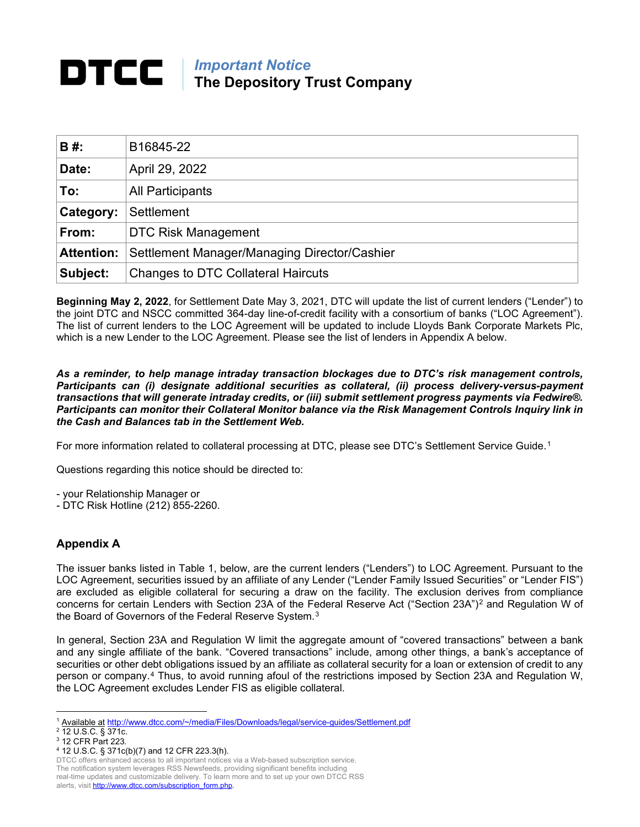## *Important Notice* **The Depository Trust Company**

| <b>B#:</b>        | B16845-22                                    |
|-------------------|----------------------------------------------|
| Date:             | April 29, 2022                               |
| To:               | <b>All Participants</b>                      |
| <b>Category:</b>  | Settlement                                   |
| From:             | <b>DTC Risk Management</b>                   |
| <b>Attention:</b> | Settlement Manager/Managing Director/Cashier |
| Subject:          | <b>Changes to DTC Collateral Haircuts</b>    |

**Beginning May 2, 2022**, for Settlement Date May 3, 2021, DTC will update the list of current lenders ("Lender") to the joint DTC and NSCC committed 364-day line-of-credit facility with a consortium of banks ("LOC Agreement"). The list of current lenders to the LOC Agreement will be updated to include Lloyds Bank Corporate Markets Plc, which is a new Lender to the LOC Agreement. Please see the list of lenders in Appendix A below.

*As a reminder, to help manage intraday transaction blockages due to DTC's risk management controls, Participants can (i) designate additional securities as collateral, (ii) process delivery-versus-payment transactions that will generate intraday credits, or (iii) submit settlement progress payments via Fedwire®. Participants can monitor their Collateral Monitor balance via the Risk Management Controls Inquiry link in the Cash and Balances tab in the Settlement Web.* 

For more information related to collateral processing at DTC, please see DTC's Settlement Service Guide.<sup>[1](#page-0-0)</sup>

Questions regarding this notice should be directed to:

- your Relationship Manager or

- DTC Risk Hotline (212) 855-2260.

## **Appendix A**

The issuer banks listed in Table 1, below, are the current lenders ("Lenders") to LOC Agreement. Pursuant to the LOC Agreement, securities issued by an affiliate of any Lender ("Lender Family Issued Securities" or "Lender FIS") are excluded as eligible collateral for securing a draw on the facility. The exclusion derives from compliance concerns for certain Lenders with Section [2](#page-0-1)3A of the Federal Reserve Act ("Section 23A")<sup>2</sup> and Regulation W of the Board of Governors of the Federal Reserve System.<sup>[3](#page-0-2)</sup>

In general, Section 23A and Regulation W limit the aggregate amount of "covered transactions" between a bank and any single affiliate of the bank. "Covered transactions" include, among other things, a bank's acceptance of securities or other debt obligations issued by an affiliate as collateral security for a loan or extension of credit to any person or company.[4](#page-0-3) Thus, to avoid running afoul of the restrictions imposed by Section 23A and Regulation W, the LOC Agreement excludes Lender FIS as eligible collateral.

<sup>1</sup> Available at [http://www.dtcc.com/~/media/Files/Downloads/legal/service-guides/Settlement.pdf](http://www.dtcc.com/%7E/media/Files/Downloads/legal/service-guides/Settlement.pdf)

<span id="page-0-1"></span><span id="page-0-0"></span><sup>2</sup> 12 U.S.C. § 371c.

<span id="page-0-2"></span><sup>3</sup> 12 CFR Part 223.

<span id="page-0-3"></span><sup>4</sup> 12 U.S.C. § 371c(b)(7) and 12 CFR 223.3(h).

DTCC offers enhanced access to all important notices via a Web-based subscription service.

The notification system leverages RSS Newsfeeds, providing significant benefits including real-time updates and customizable delivery. To learn more and to set up your own DTCC RSS alerts, visit http://www.dtcc.com/subscription\_form.php.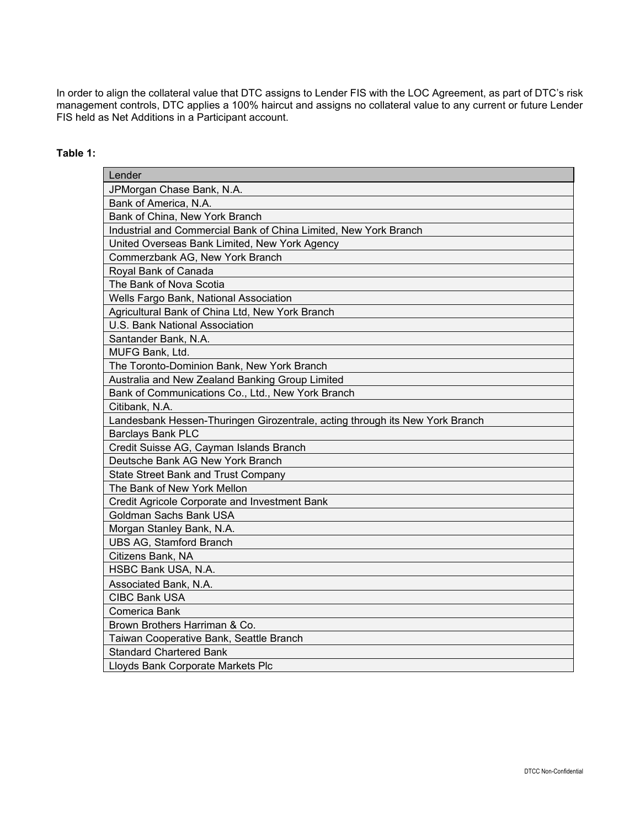In order to align the collateral value that DTC assigns to Lender FIS with the LOC Agreement, as part of DTC's risk management controls, DTC applies a 100% haircut and assigns no collateral value to any current or future Lender FIS held as Net Additions in a Participant account.

## **Table 1:**

| Lender                                                                       |
|------------------------------------------------------------------------------|
| JPMorgan Chase Bank, N.A.                                                    |
| Bank of America, N.A.                                                        |
| Bank of China, New York Branch                                               |
| Industrial and Commercial Bank of China Limited, New York Branch             |
| United Overseas Bank Limited, New York Agency                                |
| Commerzbank AG, New York Branch                                              |
| Royal Bank of Canada                                                         |
| The Bank of Nova Scotia                                                      |
| Wells Fargo Bank, National Association                                       |
| Agricultural Bank of China Ltd, New York Branch                              |
| U.S. Bank National Association                                               |
| Santander Bank, N.A.                                                         |
| MUFG Bank, Ltd.                                                              |
| The Toronto-Dominion Bank, New York Branch                                   |
| Australia and New Zealand Banking Group Limited                              |
| Bank of Communications Co., Ltd., New York Branch                            |
| Citibank, N.A.                                                               |
| Landesbank Hessen-Thuringen Girozentrale, acting through its New York Branch |
| <b>Barclays Bank PLC</b>                                                     |
| Credit Suisse AG, Cayman Islands Branch                                      |
| Deutsche Bank AG New York Branch                                             |
| <b>State Street Bank and Trust Company</b>                                   |
| The Bank of New York Mellon                                                  |
| Credit Agricole Corporate and Investment Bank                                |
| Goldman Sachs Bank USA                                                       |
| Morgan Stanley Bank, N.A.                                                    |
| <b>UBS AG, Stamford Branch</b>                                               |
| Citizens Bank, NA                                                            |
| HSBC Bank USA, N.A.                                                          |
| Associated Bank, N.A.                                                        |
| <b>CIBC Bank USA</b>                                                         |
| Comerica Bank                                                                |
| Brown Brothers Harriman & Co.                                                |
| Taiwan Cooperative Bank, Seattle Branch                                      |
| <b>Standard Chartered Bank</b>                                               |
| Lloyds Bank Corporate Markets Plc                                            |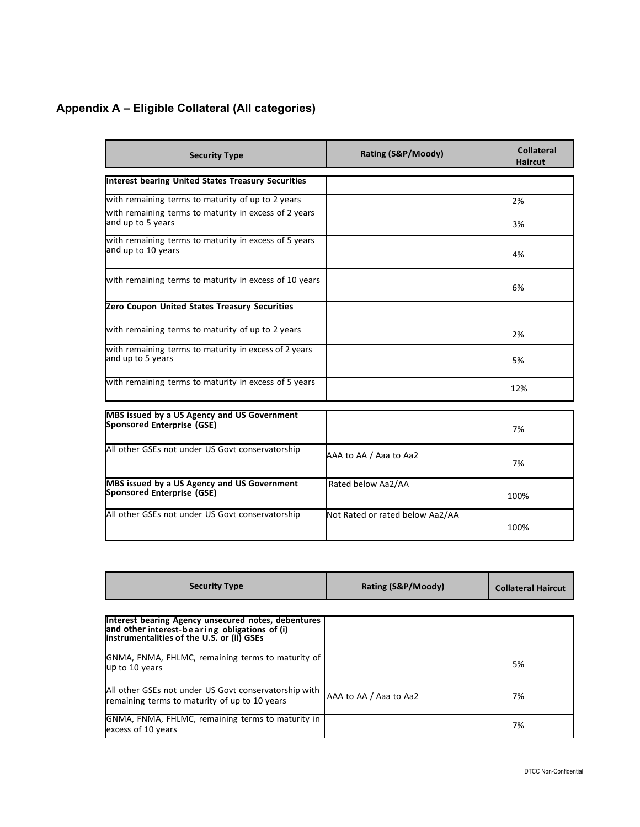## **Appendix A – Eligible Collateral (All categories)**

| <b>Security Type</b>                                                             | Rating (S&P/Moody)              | <b>Collateral</b><br><b>Haircut</b> |
|----------------------------------------------------------------------------------|---------------------------------|-------------------------------------|
| <b>Interest bearing United States Treasury Securities</b>                        |                                 |                                     |
| with remaining terms to maturity of up to 2 years                                |                                 | 2%                                  |
| with remaining terms to maturity in excess of 2 years<br>and up to 5 years       |                                 | 3%                                  |
| with remaining terms to maturity in excess of 5 years<br>and up to 10 years      |                                 | 4%                                  |
| with remaining terms to maturity in excess of 10 years                           |                                 | 6%                                  |
| Zero Coupon United States Treasury Securities                                    |                                 |                                     |
| with remaining terms to maturity of up to 2 years                                |                                 | 2%                                  |
| with remaining terms to maturity in excess of 2 years<br>and up to 5 years       |                                 | 5%                                  |
| with remaining terms to maturity in excess of 5 years                            |                                 | 12%                                 |
| MBS issued by a US Agency and US Government                                      |                                 |                                     |
| Sponsored Enterprise (GSE)                                                       |                                 | 7%                                  |
| All other GSEs not under US Govt conservatorship                                 | AAA to AA / Aaa to Aa2          | 7%                                  |
| MBS issued by a US Agency and US Government<br><b>Sponsored Enterprise (GSE)</b> | Rated below Aa2/AA              | 100%                                |
| All other GSEs not under US Govt conservatorship                                 | Not Rated or rated below Aa2/AA |                                     |

| <b>Security Type</b>                                                                                                                               | Rating (S&P/Moody)     | <b>Collateral Haircut</b> |
|----------------------------------------------------------------------------------------------------------------------------------------------------|------------------------|---------------------------|
|                                                                                                                                                    |                        |                           |
| Interest bearing Agency unsecured notes, debentures<br>and other interest-bearing obligations of (i)<br>instrumentalities of the U.S. or (ii) GSEs |                        |                           |
| GNMA, FNMA, FHLMC, remaining terms to maturity of<br>up to 10 years                                                                                |                        | 5%                        |
| All other GSEs not under US Govt conservatorship with<br>remaining terms to maturity of up to 10 years                                             | AAA to AA / Aaa to Aa2 | 7%                        |
| GNMA, FNMA, FHLMC, remaining terms to maturity in<br>excess of 10 years                                                                            |                        | 7%                        |

100%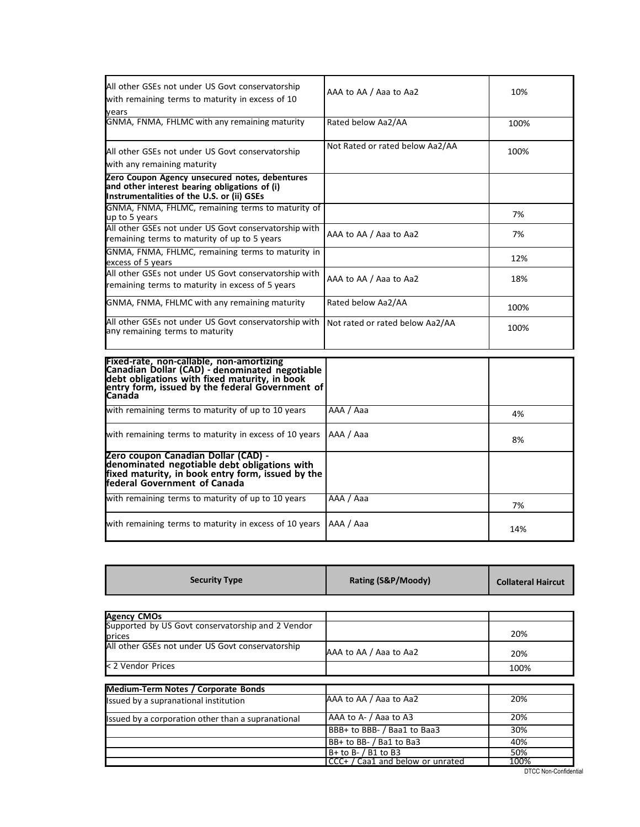| All other GSEs not under US Govt conservatorship<br>with remaining terms to maturity in excess of 10<br>vears                                 | AAA to AA / Aaa to Aa2          | 10%  |
|-----------------------------------------------------------------------------------------------------------------------------------------------|---------------------------------|------|
| GNMA, FNMA, FHLMC with any remaining maturity                                                                                                 | Rated below Aa2/AA              | 100% |
| All other GSEs not under US Govt conservatorship<br>with any remaining maturity                                                               | Not Rated or rated below Aa2/AA | 100% |
| Zero Coupon Agency unsecured notes, debentures<br>and other interest bearing obligations of (i)<br>Instrumentalities of the U.S. or (ii) GSEs |                                 |      |
| GNMA, FNMA, FHLMC, remaining terms to maturity of<br>up to 5 years                                                                            |                                 | 7%   |
| All other GSEs not under US Govt conservatorship with<br>remaining terms to maturity of up to 5 years                                         | AAA to AA / Aaa to Aa2          | 7%   |
| GNMA, FNMA, FHLMC, remaining terms to maturity in<br>excess of 5 years                                                                        |                                 | 12%  |
| All other GSEs not under US Govt conservatorship with<br>remaining terms to maturity in excess of 5 years                                     | AAA to AA / Aaa to Aa2          | 18%  |
| GNMA, FNMA, FHLMC with any remaining maturity                                                                                                 | Rated below Aa2/AA              | 100% |
| All other GSEs not under US Govt conservatorship with<br>any remaining terms to maturity                                                      | Not rated or rated below Aa2/AA | 100% |

| Fixed-rate, non-callable, non-amortizing<br>Canadian Dollar (CAD) - denominated negotiable<br>debt obligations with fixed maturity, in book<br>entry form, issued by the federal Government of<br><b>Canada</b> |           |     |
|-----------------------------------------------------------------------------------------------------------------------------------------------------------------------------------------------------------------|-----------|-----|
| with remaining terms to maturity of up to 10 years                                                                                                                                                              | AAA / Aaa | 4%  |
| with remaining terms to maturity in excess of 10 years                                                                                                                                                          | AAA / Aaa | 8%  |
| Zero coupon Canadian Dollar (CAD) -<br>denominated negotiable debt obligations with<br>fixed maturity, in book entry form, issued by the<br>federal Government of Canada                                        |           |     |
| with remaining terms to maturity of up to 10 years                                                                                                                                                              | AAA / Aaa | 7%  |
| with remaining terms to maturity in excess of 10 years                                                                                                                                                          | AAA / Aaa | 14% |

| <b>Security Type</b>                               | Rating (S&P/Moody)               | <b>Collateral Haircut</b> |
|----------------------------------------------------|----------------------------------|---------------------------|
|                                                    |                                  |                           |
| <b>Agency CMOs</b>                                 |                                  |                           |
| Supported by US Govt conservatorship and 2 Vendor  |                                  |                           |
| prices                                             |                                  | 20%                       |
| All other GSEs not under US Govt conservatorship   | AAA to AA / Aaa to Aa2           | 20%                       |
| < 2 Vendor Prices                                  |                                  | 100%                      |
| <b>Medium-Term Notes / Corporate Bonds</b>         |                                  |                           |
| Issued by a supranational institution              | AAA to AA / Aaa to Aa2           | 20%                       |
|                                                    |                                  |                           |
| Issued by a corporation other than a supranational | AAA to A- / Aaa to A3            | 20%                       |
|                                                    | BBB+ to BBB- / Baa1 to Baa3      | 30%                       |
|                                                    | BB+ to BB- / Ba1 to Ba3          | 40%                       |
|                                                    | $B+$ to B- $/$ B1 to B3          | 50%                       |
|                                                    | CCC+ / Caa1 and below or unrated | 100%                      |

 $\overline{\phantom{a}}$ 

Е

Ħ.

 $\overline{\phantom{a}}$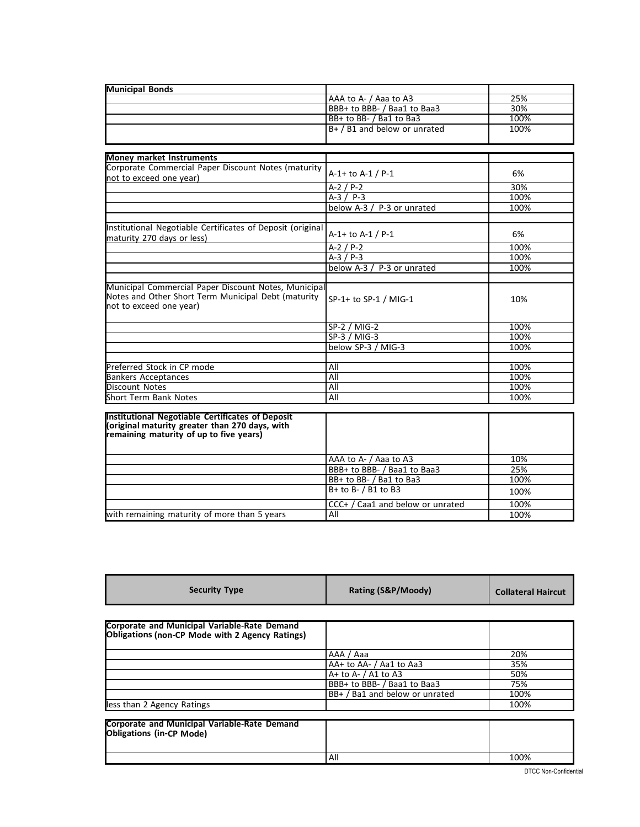| <b>Municipal Bonds</b>                                                                                                                 |                              |      |
|----------------------------------------------------------------------------------------------------------------------------------------|------------------------------|------|
|                                                                                                                                        | AAA to A- / Aaa to A3        | 25%  |
|                                                                                                                                        | BBB+ to BBB- / Baa1 to Baa3  | 30%  |
|                                                                                                                                        | BB+ to BB- / Ba1 to Ba3      | 100% |
|                                                                                                                                        | B+ / B1 and below or unrated | 100% |
|                                                                                                                                        |                              |      |
|                                                                                                                                        |                              |      |
| <b>Money market Instruments</b>                                                                                                        |                              |      |
| Corporate Commercial Paper Discount Notes (maturity<br>not to exceed one year)                                                         | A-1+ to A-1 / P-1            | 6%   |
|                                                                                                                                        | $A-2 / P-2$                  | 30%  |
|                                                                                                                                        | $A-3 / P-3$                  | 100% |
|                                                                                                                                        | below A-3 / P-3 or unrated   | 100% |
|                                                                                                                                        |                              |      |
| Institutional Negotiable Certificates of Deposit (original<br>maturity 270 days or less)                                               | A-1+ to A-1 / P-1            | 6%   |
|                                                                                                                                        | $A-2 / P-2$                  | 100% |
|                                                                                                                                        | $A-3 / P-3$                  | 100% |
|                                                                                                                                        | below A-3 / P-3 or unrated   | 100% |
|                                                                                                                                        |                              |      |
| Municipal Commercial Paper Discount Notes, Municipal<br>Notes and Other Short Term Municipal Debt (maturity<br>not to exceed one year) | SP-1+ to SP-1 / MIG-1        | 10%  |
|                                                                                                                                        | SP-2 / MIG-2                 | 100% |
|                                                                                                                                        | $SP-3 / MIG-3$               | 100% |
|                                                                                                                                        | below SP-3 / MIG-3           | 100% |
|                                                                                                                                        |                              |      |
| Preferred Stock in CP mode                                                                                                             | All                          | 100% |
| <b>Bankers Acceptances</b>                                                                                                             | All                          | 100% |
| <b>Discount Notes</b>                                                                                                                  | All                          | 100% |
| <b>Short Term Bank Notes</b>                                                                                                           | All                          | 100% |
|                                                                                                                                        |                              |      |
| Institutional Negotiable Certificates of Deposit<br>(original maturity greater than 270 days, with                                     |                              |      |
| remaining maturity of up to five years)                                                                                                |                              |      |

|                                              | AAA to A- / Aaa to A3            | 10%  |
|----------------------------------------------|----------------------------------|------|
|                                              | BBB+ to BBB- / Baa1 to Baa3      | 25%  |
|                                              | BB+ to BB- / Ba1 to Ba3          | 100% |
|                                              | $B+$ to B- $/$ B1 to B3          | 100% |
|                                              | CCC+ / Caa1 and below or unrated | 100% |
| with remaining maturity of more than 5 years | All                              | 100% |

| <b>Security Type</b>                                                                            | Rating (S&P/Moody)             | <b>Collateral Haircut</b> |
|-------------------------------------------------------------------------------------------------|--------------------------------|---------------------------|
|                                                                                                 |                                |                           |
| Corporate and Municipal Variable-Rate Demand<br>Obligations (non-CP Mode with 2 Agency Ratings) |                                |                           |
|                                                                                                 | AAA / Aaa                      | 20%                       |
|                                                                                                 | AA+ to AA- / Aa1 to Aa3        | 35%                       |
|                                                                                                 | $A+$ to $A-$ / A1 to A3        | 50%                       |
|                                                                                                 | BBB+ to BBB- / Baa1 to Baa3    | 75%                       |
|                                                                                                 | BB+ / Ba1 and below or unrated | 100%                      |
| less than 2 Agency Ratings                                                                      |                                | 100%                      |
| <b>Corporate and Municipal Variable-Rate Demand</b><br>Obligations (in-CP Mode)                 |                                |                           |
|                                                                                                 | All                            | 100%                      |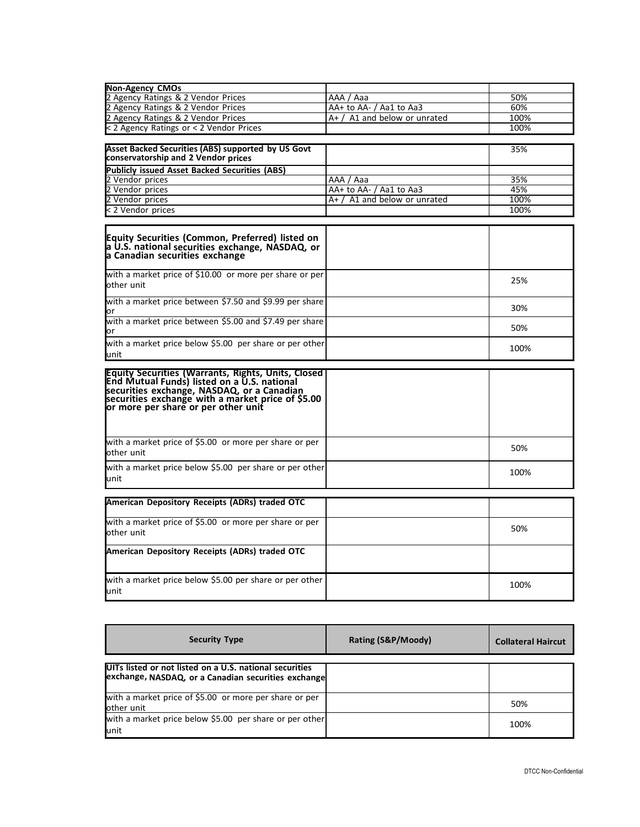| <b>Non-Agency CMOs</b>                                                                                                                                                                                                                             |                                |      |
|----------------------------------------------------------------------------------------------------------------------------------------------------------------------------------------------------------------------------------------------------|--------------------------------|------|
| 2 Agency Ratings & 2 Vendor Prices                                                                                                                                                                                                                 | AAA / Aaa                      | 50%  |
| 2 Agency Ratings & 2 Vendor Prices                                                                                                                                                                                                                 | AA+ to AA- / Aa1 to Aa3        | 60%  |
| 2 Agency Ratings & 2 Vendor Prices                                                                                                                                                                                                                 | $A+$ / A1 and below or unrated | 100% |
| < 2 Agency Ratings or < 2 Vendor Prices                                                                                                                                                                                                            |                                | 100% |
|                                                                                                                                                                                                                                                    |                                |      |
| Asset Backed Securities (ABS) supported by US Govt<br>conservatorship and 2 Vendor prices                                                                                                                                                          |                                | 35%  |
| <b>Publicly issued Asset Backed Securities (ABS)</b>                                                                                                                                                                                               |                                |      |
| 2 Vendor prices                                                                                                                                                                                                                                    | AAA / Aaa                      | 35%  |
| 2 Vendor prices                                                                                                                                                                                                                                    | AA+ to AA- / Aa1 to Aa3        | 45%  |
| 2 Vendor prices                                                                                                                                                                                                                                    | $A+$ / A1 and below or unrated | 100% |
| < 2 Vendor prices                                                                                                                                                                                                                                  |                                | 100% |
|                                                                                                                                                                                                                                                    |                                |      |
| Equity Securities (Common, Preferred) listed on<br>a U.S. national securities exchange, NASDAQ, or<br>a Canadian securities exchange                                                                                                               |                                |      |
| with a market price of \$10.00 or more per share or per<br>other unit                                                                                                                                                                              |                                | 25%  |
| with a market price between \$7.50 and \$9.99 per share<br>or                                                                                                                                                                                      |                                | 30%  |
| with a market price between \$5.00 and \$7.49 per share<br>or                                                                                                                                                                                      |                                | 50%  |
| with a market price below \$5.00 per share or per other                                                                                                                                                                                            |                                | 100% |
| unit                                                                                                                                                                                                                                               |                                |      |
| <b>Equity Securities (Warrants, Rights, Units, Closed</b><br>End Mutual Funds) listed on a U.S. national<br>securities exchange, NASDAQ, or a Canadian<br>securities exchange with a market price of \$5.00<br>or more per share or per other unit |                                |      |
| with a market price of \$5.00 or more per share or per<br>other unit                                                                                                                                                                               |                                | 50%  |
| with a market price below \$5.00 per share or per other<br>unit                                                                                                                                                                                    |                                | 100% |
| American Depository Receipts (ADRs) traded OTC                                                                                                                                                                                                     |                                |      |
| with a market price of \$5.00 or more per share or per<br>other unit                                                                                                                                                                               |                                | 50%  |
| American Depository Receipts (ADRs) traded OTC                                                                                                                                                                                                     |                                |      |
| with a market price below \$5.00 per share or per other<br>unit                                                                                                                                                                                    |                                | 100% |

| <b>Security Type</b>                                                                                           | Rating (S&P/Moody) | <b>Collateral Haircut</b> |
|----------------------------------------------------------------------------------------------------------------|--------------------|---------------------------|
| UITs listed or not listed on a U.S. national securities<br>exchange, NASDAQ, or a Canadian securities exchange |                    |                           |
| with a market price of \$5.00 or more per share or per<br>other unit                                           |                    | 50%                       |
| with a market price below \$5.00 per share or per other<br>unit                                                |                    | 100%                      |